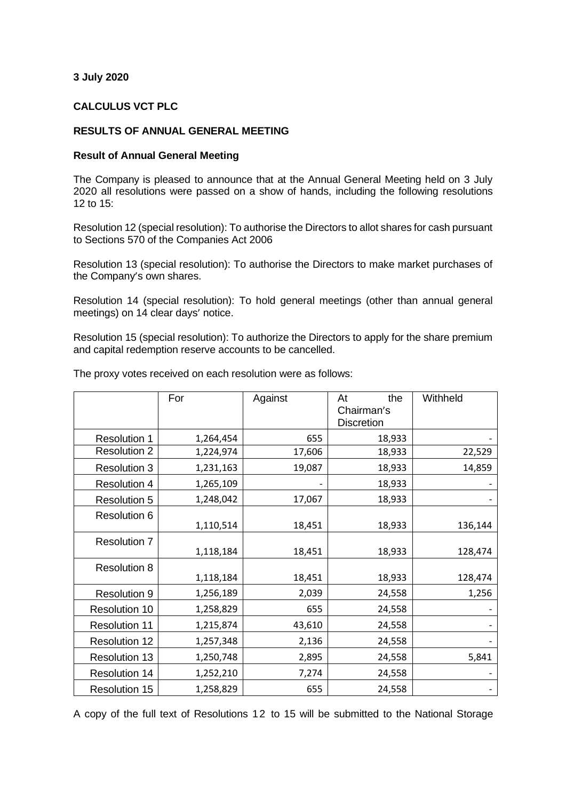## **3 July 2020**

## **CALCULUS VCT PLC**

## **RESULTS OF ANNUAL GENERAL MEETING**

## **Result of Annual General Meeting**

The Company is pleased to announce that at the Annual General Meeting held on 3 July 2020 all resolutions were passed on a show of hands, including the following resolutions 12 to 15:

Resolution 12 (special resolution): To authorise the Directors to allot shares for cash pursuant to Sections 570 of the Companies Act 2006

Resolution 13 (special resolution): To authorise the Directors to make market purchases of the Company's own shares.

Resolution 14 (special resolution): To hold general meetings (other than annual general meetings) on 14 clear days' notice.

Resolution 15 (special resolution): To authorize the Directors to apply for the share premium and capital redemption reserve accounts to be cancelled.

|                      | For       | Against | the<br>At<br>Chairman's<br><b>Discretion</b> | Withheld |
|----------------------|-----------|---------|----------------------------------------------|----------|
| <b>Resolution 1</b>  | 1,264,454 | 655     | 18,933                                       |          |
| <b>Resolution 2</b>  | 1,224,974 | 17,606  | 18,933                                       | 22,529   |
| <b>Resolution 3</b>  | 1,231,163 | 19,087  | 18,933                                       | 14,859   |
| <b>Resolution 4</b>  | 1,265,109 |         | 18,933                                       |          |
| <b>Resolution 5</b>  | 1,248,042 | 17,067  | 18,933                                       |          |
| <b>Resolution 6</b>  | 1,110,514 | 18,451  | 18,933                                       | 136,144  |
| <b>Resolution 7</b>  | 1,118,184 | 18,451  | 18,933                                       | 128,474  |
| <b>Resolution 8</b>  | 1,118,184 | 18,451  | 18,933                                       | 128,474  |
| <b>Resolution 9</b>  | 1,256,189 | 2,039   | 24,558                                       | 1,256    |
| <b>Resolution 10</b> | 1,258,829 | 655     | 24,558                                       |          |
| <b>Resolution 11</b> | 1,215,874 | 43,610  | 24,558                                       |          |
| <b>Resolution 12</b> | 1,257,348 | 2,136   | 24,558                                       |          |
| <b>Resolution 13</b> | 1,250,748 | 2,895   | 24,558                                       | 5,841    |
| <b>Resolution 14</b> | 1,252,210 | 7,274   | 24,558                                       |          |
| <b>Resolution 15</b> | 1,258,829 | 655     | 24,558                                       |          |

The proxy votes received on each resolution were as follows:

A copy of the full text of Resolutions 12 to 15 will be submitted to the National Storage